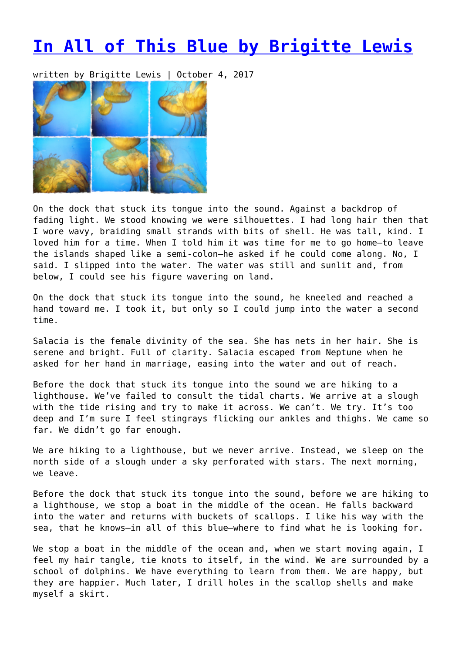## **[In All of This Blue by Brigitte Lewis](https://entropymag.org/in-all-of-this-blue-by-brigitte-lewis/)**

written by Brigitte Lewis | October 4, 2017



On the dock that stuck its tongue into the sound. Against a backdrop of fading light. We stood knowing we were silhouettes. I had long hair then that I wore wavy, braiding small strands with bits of shell. He was tall, kind. I loved him for a time. When I told him it was time for me to go home—to leave the islands shaped like a semi-colon—he asked if he could come along. No, I said. I slipped into the water. The water was still and sunlit and, from below, I could see his figure wavering on land.

On the dock that stuck its tongue into the sound, he kneeled and reached a hand toward me. I took it, but only so I could jump into the water a second time.

Salacia is the female divinity of the sea. She has nets in her hair. She is serene and bright. Full of clarity. Salacia escaped from Neptune when he asked for her hand in marriage, easing into the water and out of reach.

Before the dock that stuck its tongue into the sound we are hiking to a lighthouse. We've failed to consult the tidal charts. We arrive at a slough with the tide rising and try to make it across. We can't. We try. It's too deep and I'm sure I feel stingrays flicking our ankles and thighs. We came so far. We didn't go far enough.

We are hiking to a lighthouse, but we never arrive. Instead, we sleep on the north side of a slough under a sky perforated with stars. The next morning, we leave.

Before the dock that stuck its tongue into the sound, before we are hiking to a lighthouse, we stop a boat in the middle of the ocean. He falls backward into the water and returns with buckets of scallops. I like his way with the sea, that he knows—in all of this blue—where to find what he is looking for.

We stop a boat in the middle of the ocean and, when we start moving again, I feel my hair tangle, tie knots to itself, in the wind. We are surrounded by a school of dolphins. We have everything to learn from them. We are happy, but they are happier. Much later, I drill holes in the scallop shells and make myself a skirt.